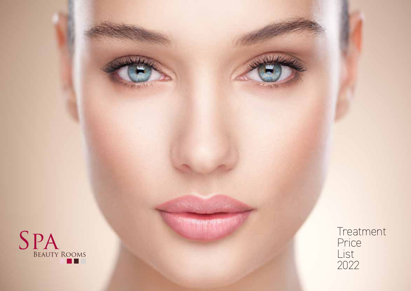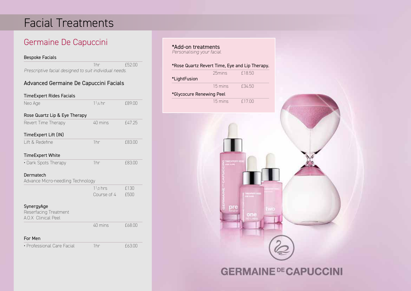## Facial Treatments

## Germaine De Capuccini

#### Bespoke Facials

1hr £52.00 *Prescriptive facial designed to suit individual needs.*

### Advanced Germaine De Capuccini Facials

| <b>TimeExpert Rides Facials</b>                                   |                 |        |
|-------------------------------------------------------------------|-----------------|--------|
| Neo Age                                                           | $11/4$ hr       | f89.00 |
| Rose Quartz Lip & Eye Therapy                                     |                 |        |
| Revert Time Therapy                                               | 40 mins         | £47.25 |
| TimeExpert Lift (IN)                                              |                 |        |
| Lift & Redefine                                                   | 1 <sub>hr</sub> | £83.00 |
| <b>TimeExpert White</b>                                           |                 |        |
| • Dark Spots Therapy                                              | 1 <sub>hr</sub> | £83.00 |
| Dermatech                                                         |                 |        |
| Advance Micro-needling Technology                                 |                 |        |
|                                                                   | $11/2$ hrs      | £130   |
|                                                                   | Course of 4     | £500   |
| SynergyAge<br>Reserfacing Treatment<br><b>A.O.X</b> Clinical Peel |                 |        |
|                                                                   | 40 mins         | £68.00 |
| Eor Man                                                           |                 |        |

For Men • Professional Care Facial 1hr 11 £63.00 \*Add-on treatments *Personalising your facial.*

### \*Rose Quartz Revert Time, Eye and Lip Therapy.



## **GERMAINE DE CAPUCCINI**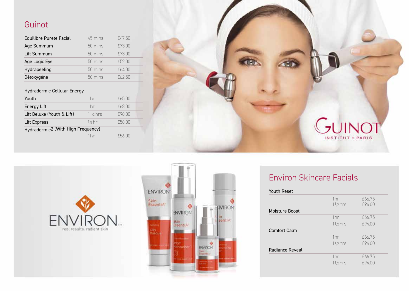## Guinot

| Equilibre Purete Facial | 45 mins           | £47.50 |
|-------------------------|-------------------|--------|
| Age Summum              | $50 \text{ mins}$ | f73.00 |
| Lift Summum             | $50 \text{ mins}$ | f73.00 |
| Age Logic Eye           | $50 \text{ mins}$ | £52.00 |
| Hydrapeeling            | 50 mins           | f64.00 |
| Détoxygéne              | $50 \text{ mins}$ | £6250  |

#### Hydradermie Cellular Energy

| Youth                                          | 1 <sub>hr</sub> | £65.00 |  |
|------------------------------------------------|-----------------|--------|--|
| Energy Lift                                    | 1 <sub>hr</sub> | f68.00 |  |
| Lift Deluxe (Youth & Lift)                     | $11p$ hrs       | f98.00 |  |
| Lift Express                                   | $1/2$ hr        | £58.00 |  |
| Hydradermie <sup>2</sup> (With High Frequency) |                 |        |  |
|                                                | 1hr             | £56.00 |  |







## Environ Skincare Facials

| 1 <sub>hr</sub><br>$11/2$ hrs | f66.75<br>f94.00 |
|-------------------------------|------------------|
|                               |                  |
| 1 <sub>hr</sub>               | f66.75           |
| $11/2$ hrs                    | f94.00           |
|                               |                  |
| 1 <sub>hr</sub>               | f66.75           |
| $11/2$ hrs                    | f94.00           |
|                               |                  |
| 1 <sub>hr</sub>               | f66.75           |
| $11/2$ hrs                    | f94.00           |
|                               |                  |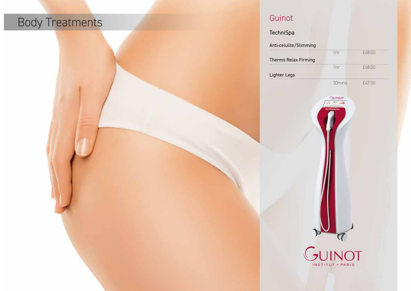# **Body Treatments**

## Guinot

| Anti-celulite/Slimming |               |        |
|------------------------|---------------|--------|
| Thermo Relax Firming   | 1hr           | £68.00 |
| Lighter Legs           | 1hr           | £68.00 |
|                        | 30mins        | £47.00 |
|                        |               |        |
|                        |               |        |
|                        |               |        |
|                        |               |        |
|                        |               |        |
|                        |               |        |
|                        |               |        |
|                        |               |        |
|                        |               |        |
|                        |               |        |
|                        |               |        |
|                        | <b>JUINOT</b> |        |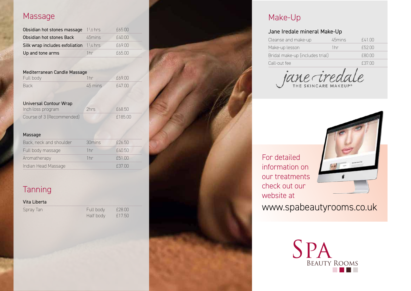### Massage

| Obsidian hot stones massage                          | $11b$ hrs | £65.00 |
|------------------------------------------------------|-----------|--------|
| Obsidian hot stones Back                             | 45mins    | f4000  |
| Silk wrap includes exfoliation 1 <sup>1</sup> /4 hrs |           | £69.00 |
| Up and tone arms                                     | 1hr       | f6500  |

#### Mediterranean Candle Massage

| Full body   | 1 <sub>hr</sub> | f69.00 |
|-------------|-----------------|--------|
| <b>Back</b> | 45 mins         | f47.00 |

#### Universal Contour Wrap Inch loss program 2hrs £68.50 Course of 3 (Recommended) f 185.00

#### Massage

| 30mins          | $f$ 26.50 |  |
|-----------------|-----------|--|
| 1 <sub>hr</sub> | £40.50    |  |
| 1 <sub>hr</sub> | £51.00    |  |
|                 | £37.00    |  |
|                 |           |  |

## **Tanning**

| Vita Liberta |         |
|--------------|---------|
| Spray Tan    | Full bo |
|              | Half bo |

dy £28.00<br>dy £17.50 £17.50



### Make-Up

### Jane Iredale mineral Make-Up

| Cleanse and make-up             | 45mins | £41.00  |
|---------------------------------|--------|---------|
| Make-up lesson                  | 1hr    | £52.00  |
| Bridal make-up (includes trial) |        | f(8000) |
| Call-out fee                    |        | £37.00  |

jane iredi

### For detailed information on our treatments check out our website at



www.spabeautyrooms.co.uk

SPA Beauty Rooms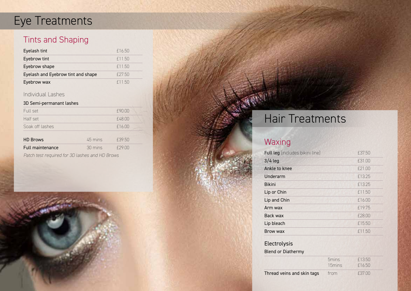## Eye Treatments

## Tints and Shaping

| Eyelash tint                       | £16.50  |
|------------------------------------|---------|
| Eyebrow tint                       | f 11.50 |
| Eyebrow shape                      | f1150   |
| Eyelash and Eyebrow tint and shape | f27.50  |
| Eyebrow wax                        | f1150   |

### Individual Lashes

### 3D Semi-permanant lashes

| Full set                                                    |         | £90.00 |
|-------------------------------------------------------------|---------|--------|
| Half set                                                    |         | £48.00 |
| Soak off lashes                                             |         | £16.00 |
| <b>HD Brows</b>                                             | 45 mins | £39.50 |
| Full maintenance                                            | 30 mins | £29.00 |
| $D$ -t-b t-st scenario del seg $\Omega$ lesbes seguitin $D$ |         |        |

*Patch test required for 3D lashes and HD Brows*

## Hair Treatments

## **Waxing**

| Full leg (includes bikini line) | £37.50 |
|---------------------------------|--------|
| $3/4$ leg                       | f31.00 |
| Ankle to knee                   | f21.00 |
| Underarm                        | f13.25 |
| <b>Bikini</b>                   | f13.25 |
| Lip or Chin                     | £11.50 |
| Lip and Chin                    | £16.00 |
| Arm wax                         | f19.75 |
| Back wax                        | f28.00 |
| Lip bleach                      | £15.50 |
| Brow wax                        | £11.50 |

### Electrolysis

#### Blend or Diathermy

|                            | 5 <sub>mins</sub><br>15 <sub>mins</sub> | £1350<br>f16.50 |  |
|----------------------------|-----------------------------------------|-----------------|--|
| Thread veins and skin tags | trom                                    | £37.00          |  |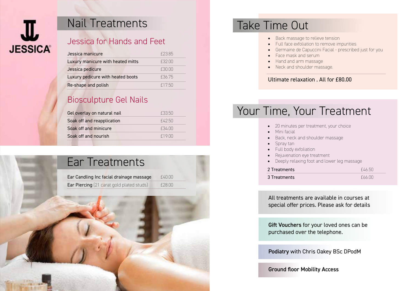

## Nail Treatments Take Time Out

### Jessica for Hands and Feet

| Jessica manicure                  | f 2385 |
|-----------------------------------|--------|
| Luxury manicure with heated mitts | £32.00 |
| Jessica pedicure                  | £30.00 |
| Luxury pedicure with heated boots | f3675  |
| Re-shape and polish               | f1750  |

## Biosculpture Gel Nails

| Gel overlay on natural nail | £33.50 |
|-----------------------------|--------|
| Soak off and reapplication  | F42.50 |
| Soak off and minicure       | F34 NO |
| Soak off and nourish        | f1900  |

## Ear Treatments

| Ear Candling Inc facial drainage massage         | £40.00 |
|--------------------------------------------------|--------|
| <b>Ear Piercing</b> (21 carat gold plated studs) | £28.00 |

- Back massage to relieve tension
- Full face exfoliation to remove impurities
- Germaine de Capuccini Facial prescribed just for you
- Face mask and serum
- Hand and arm massage
- Neck and shoulder massage.

### Ultimate relaxation . All for £80.00

## Your Time, Your Treatment

- 20 minutes per treatment, your choice
- Mini facial
- Back, neck and shoulder massage
- Spray tan
- Full body exfoliation
- Rejuvenation eye treatment
- Deeply relaxing foot and lower leg massage

| 2 Treatments | F4650 |
|--------------|-------|
| 3 Treatments | f6600 |

All treatments are available in courses at special offer prices. Please ask for details

Gift Vouchers for your loved ones can be purchased over the telephone.

Podiatry with Chris Oakey BSc DPodM

Ground floor Mobility Access